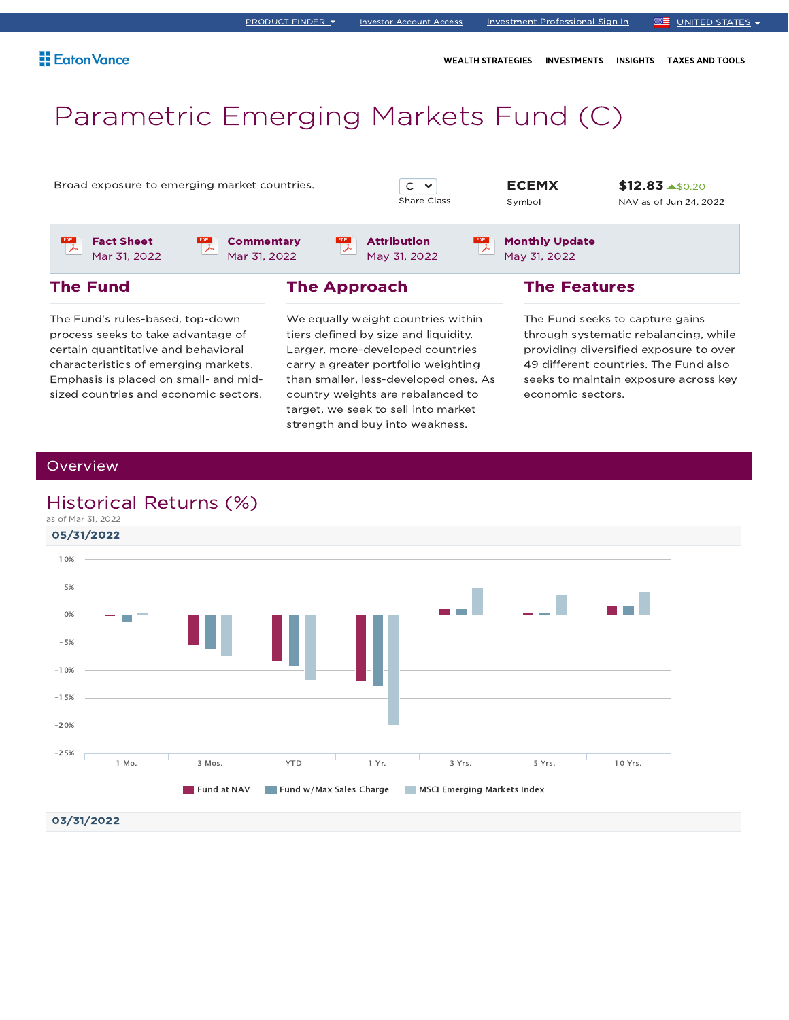WEALTH STRATEGIES INVESTMENTS INSIGHTS TAXES AND TOOLS

# Parametric Emerging Markets Fund (C)

Broad exposure to emerging market countries.  $\begin{array}{c|c} \hline \end{array}$   $\begin{array}{c} \hline \end{array}$   $\begin{array}{c} \hline \end{array}$   $\begin{array}{c} \hline \end{array}$   $\begin{array}{c} \hline \end{array}$ 



Attribution May 31, 2022 Symbol

Monthly Update May 31, 2022

\$12.83 \$0.20 NAV as of Jun 24, 2022

Fact Sheet Mar 31, 2022



**Commentary** Mar 31, 2022

The Approach

 $rac{PDF}{2}$ 

The Fund's rules-based, top-down process seeks to take advantage of certain quantitative and behavioral characteristics of emerging markets. Emphasis is placed on small- and midsized countries and economic sectors. We equally weight countries within tiers defined by size and liquidity. Larger, more-developed countries carry a greater portfolio weighting than smaller, less-developed ones. As country weights are rebalanced to target, we seek to sell into market strength and buy into weakness.

The Features

The Fund seeks to capture gains through systematic rebalancing, while providing diversified exposure to over 49 different countries. The Fund also seeks to maintain exposure across key economic sectors.

### **Overview**

The Fund

## Historical Returns (%)

as of Mar 31, 2022

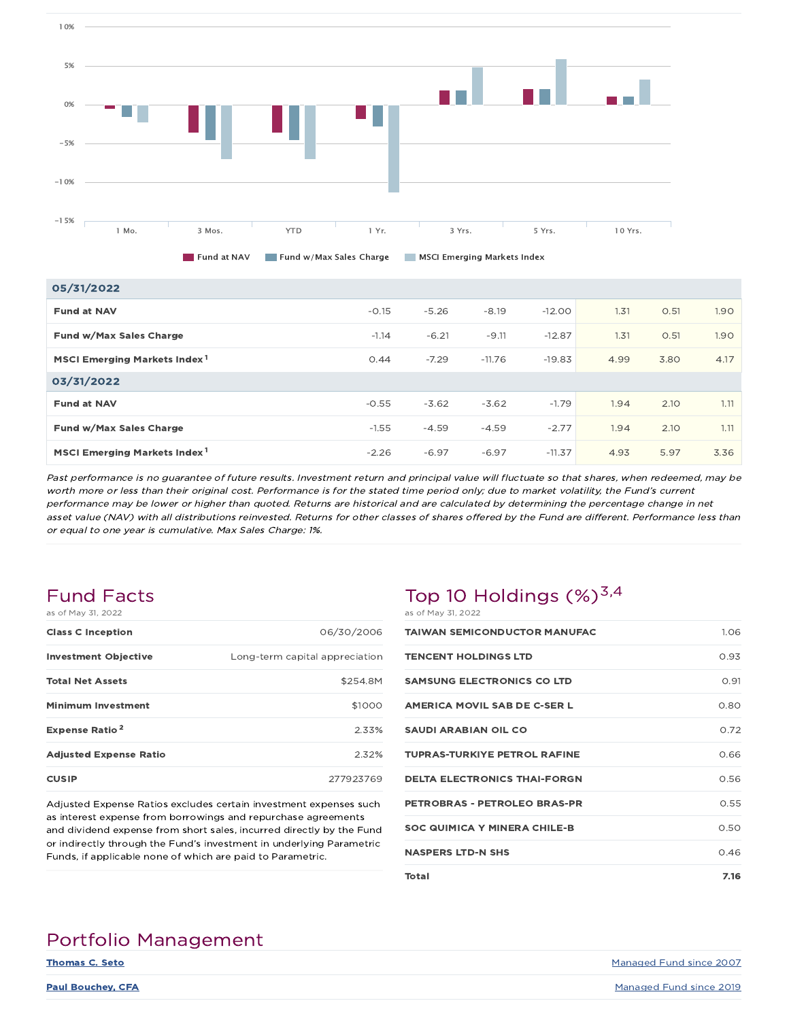

| 05/31/2022                               |         |         |          |          |      |      |      |
|------------------------------------------|---------|---------|----------|----------|------|------|------|
| <b>Fund at NAV</b>                       | $-0.15$ | $-5.26$ | $-8.19$  | $-12.00$ | 1.31 | 0.51 | 1.90 |
| Fund w/Max Sales Charge                  | $-1.14$ | $-6.21$ | $-9.11$  | $-12.87$ | 1.31 | O.51 | 1.90 |
| MSCI Emerging Markets Index <sup>1</sup> | 0.44    | $-7.29$ | $-11.76$ | $-19.83$ | 4.99 | 3.80 | 4.17 |
| 03/31/2022                               |         |         |          |          |      |      |      |
| <b>Fund at NAV</b>                       | $-0.55$ | $-3.62$ | $-3.62$  | $-1.79$  | 1.94 | 2.10 | 1.11 |
| Fund w/Max Sales Charge                  | $-1.55$ | $-4.59$ | $-4.59$  | $-2.77$  | 1.94 | 2.10 | 1.11 |
| MSCI Emerging Markets Index <sup>1</sup> | $-2.26$ | $-6.97$ | $-6.97$  | $-11.37$ | 4.93 | 5.97 | 3.36 |

Past performance is no guarantee of future results. Investment return and principal value will fluctuate so that shares, when redeemed, may be worth more or less than their original cost. Performance is for the stated time period only; due to market volatility, the Fund's current performance may be lower or higher than quoted. Returns are historical and are calculated by determining the percentage change in net asset value (NAV) with all distributions reinvested. Returns for other classes of shares offered by the Fund are different. Performance less than or equal to one year is cumulative. Max Sales Charge: 1%.

### Fund Facts as of May 31, 2022

| QO VI I'IQV JI, ZUZZ             |                                |
|----------------------------------|--------------------------------|
| <b>Class C Inception</b>         | 06/30/2006                     |
| <b>Investment Objective</b>      | Long-term capital appreciation |
| <b>Total Net Assets</b>          | \$254.8M                       |
| <b>Minimum Investment</b>        | \$1000                         |
| <b>Expense Ratio<sup>2</sup></b> | 2.33%                          |
| <b>Adjusted Expense Ratio</b>    | 2.32%                          |
| <b>CUSIP</b>                     | 277923769                      |
|                                  |                                |

Adjusted Expense Ratios excludes certain investment expenses such as interest expense from borrowings and repurchase agreements and dividend expense from short sales, incurred directly by the Fund or indirectly through the Fund's investment in underlying Parametric Funds, if applicable none of which are paid to Parametric.

## Top 10 Holdings  $(\%)^{3,4}$ as of May 31, 2022

| <b>TAIWAN SEMICONDUCTOR MANUFAC</b> | 1.06 |
|-------------------------------------|------|
| <b>TENCENT HOLDINGS LTD</b>         | 0.93 |
| <b>SAMSUNG ELECTRONICS CO LTD</b>   | 0.91 |
| AMERICA MOVIL SAB DE C-SER L        | 0.80 |
| <b>SAUDI ARABIAN OIL CO</b>         | 0.72 |
| <b>TUPRAS-TURKIYE PETROL RAFINE</b> | 0.66 |
| <b>DELTA ELECTRONICS THAI-FORGN</b> | 0.56 |
| PETROBRAS - PETROLEO BRAS-PR        | 0.55 |
| <b>SOC QUIMICA Y MINERA CHILE-B</b> | 0.50 |
| <b>NASPERS LTD-N SHS</b>            | 0.46 |
| Total                               | 7.16 |

# Portfolio Management

**Thomas C. Seto** Managed Fund since 2007

**Paul Bouchey, CFA** Managed Fund since 2019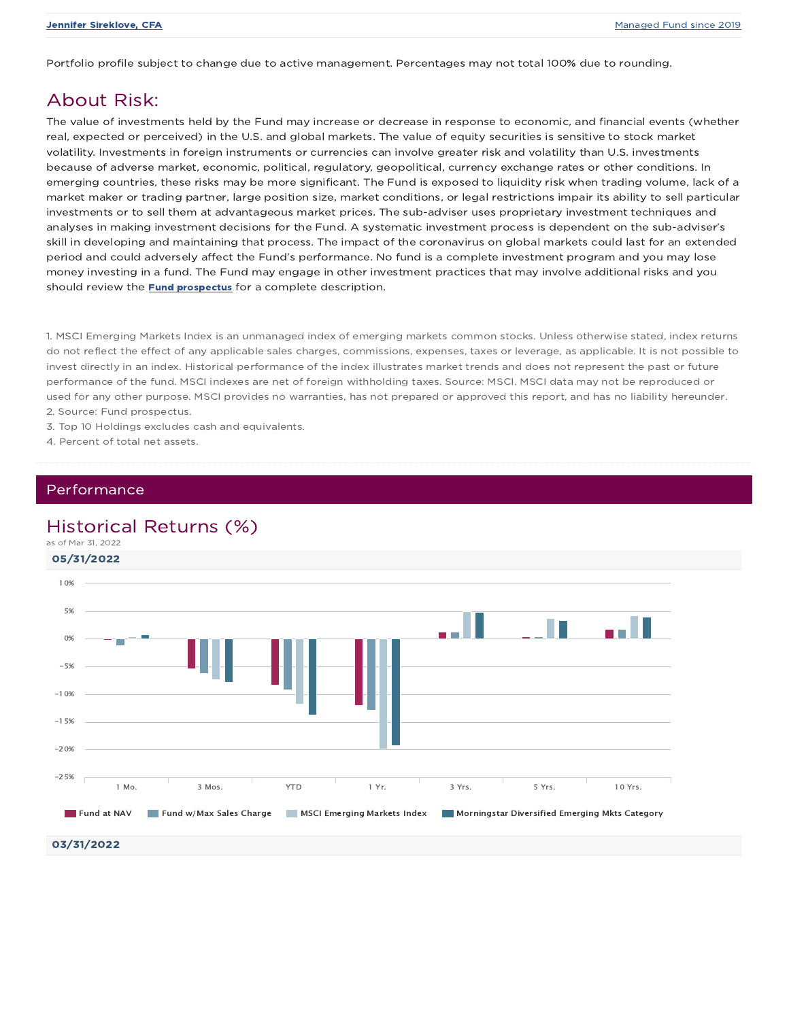Portfolio profile subject to change due to active management. Percentages may not total 100% due to rounding.

## About Risk:

The value of investments held by the Fund may increase or decrease in response to economic, and financial events (whether real, expected or perceived) in the U.S. and global markets. The value of equity securities is sensitive to stock market volatility. Investments in foreign instruments or currencies can involve greater risk and volatility than U.S. investments because of adverse market, economic, political, regulatory, geopolitical, currency exchange rates or other conditions. In emerging countries, these risks may be more significant. The Fund is exposed to liquidity risk when trading volume, lack of a market maker or trading partner, large position size, market conditions, or legal restrictions impair its ability to sell particular investments or to sell them at advantageous market prices. The sub-adviser uses proprietary investment techniques and analyses in making investment decisions for the Fund. A systematic investment process is dependent on the sub-adviser's skill in developing and maintaining that process. The impact of the coronavirus on global markets could last for an extended period and could adversely affect the Fund's performance. No fund is a complete investment program and you may lose money investing in a fund. The Fund may engage in other investment practices that may involve additional risks and you should review the **Fund prospectus** for a complete description.

1. MSCI Emerging Markets Index is an unmanaged index of emerging markets common stocks. Unless otherwise stated, index returns do not reflect the effect of any applicable sales charges, commissions, expenses, taxes or leverage, as applicable. It is not possible to invest directly in an index. Historical performance of the index illustrates market trends and does not represent the past or future performance of the fund. MSCI indexes are net of foreign withholding taxes. Source: MSCI. MSCI data may not be reproduced or used for any other purpose. MSCI provides no warranties, has not prepared or approved this report, and has no liability hereunder. 2. Source: Fund prospectus.

- 3. Top 10 Holdings excludes cash and equivalents.
- 4. Percent of total net assets.

### Performance

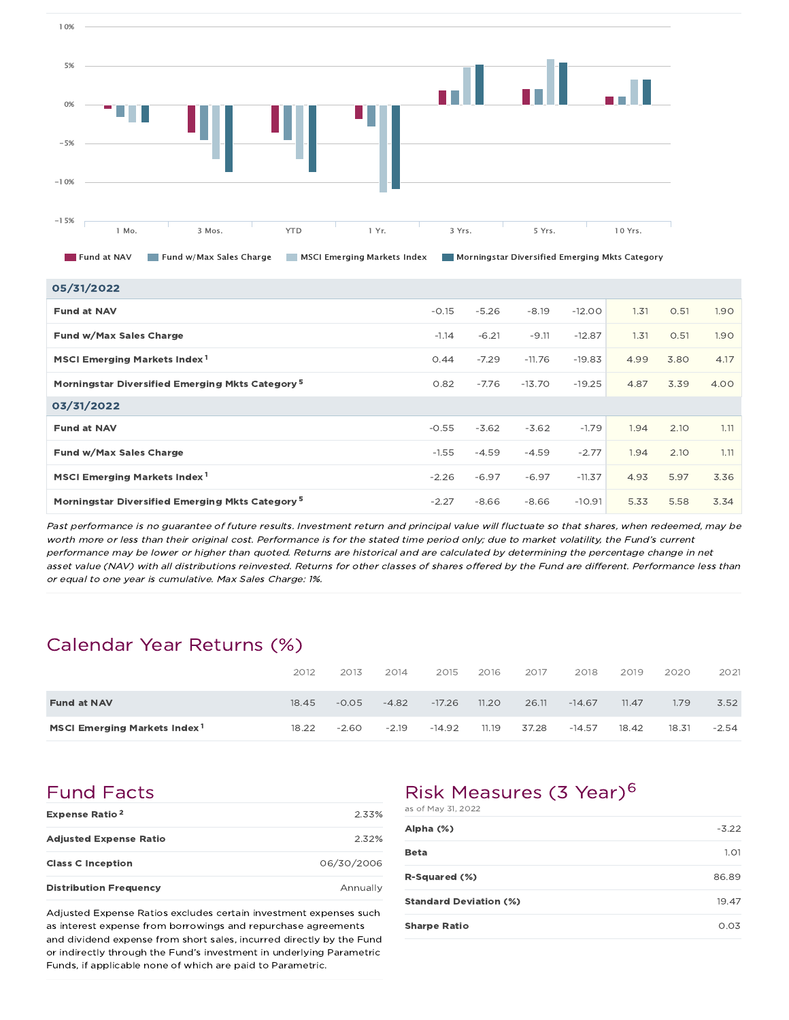

| 05/31/2022                                                  |         |         |          |          |      |      |      |
|-------------------------------------------------------------|---------|---------|----------|----------|------|------|------|
| <b>Fund at NAV</b>                                          | $-0.15$ | $-5.26$ | $-8.19$  | $-12.00$ | 1.31 | O.51 | 1.90 |
| Fund w/Max Sales Charge                                     | $-1.14$ | $-6.21$ | $-9.11$  | $-12.87$ | 1.31 | O.51 | 1.90 |
| MSCI Emerging Markets Index <sup>1</sup>                    | 0.44    | $-7.29$ | $-11.76$ | $-19.83$ | 4.99 | 3.80 | 4.17 |
| Morningstar Diversified Emerging Mkts Category <sup>5</sup> | 0.82    | $-7.76$ | $-13.70$ | $-19.25$ | 4.87 | 3.39 | 4.00 |
| 03/31/2022                                                  |         |         |          |          |      |      |      |
| <b>Fund at NAV</b>                                          | $-0.55$ | $-3.62$ | $-3.62$  | $-1.79$  | 1.94 | 2.10 | 1.11 |
| Fund w/Max Sales Charge                                     | $-1.55$ | $-4.59$ | $-4.59$  | $-2.77$  | 1.94 | 2.10 | 1.11 |
| MSCI Emerging Markets Index <sup>1</sup>                    | $-2.26$ | $-6.97$ | $-6.97$  | $-11.37$ | 4.93 | 5.97 | 3.36 |
| Morningstar Diversified Emerging Mkts Category <sup>5</sup> | $-2.27$ | $-8.66$ | $-8.66$  | $-10.91$ | 5.33 | 5.58 | 3.34 |

Past performance is no guarantee of future results. Investment return and principal value will fluctuate so that shares, when redeemed, may be worth more or less than their original cost. Performance is for the stated time period only; due to market volatility, the Fund's current performance may be lower or higher than quoted. Returns are historical and are calculated by determining the percentage change in net asset value (NAV) with all distributions reinvested. Returns for other classes of shares offered by the Fund are different. Performance less than or equal to one year is cumulative. Max Sales Charge: 1%.

## Calendar Year Returns (%)

|                                          | 2012  | 2013    | 2014    | 2015     | 2016  | 2017  | 2018     | 2019  | 2020  | 2021    |
|------------------------------------------|-------|---------|---------|----------|-------|-------|----------|-------|-------|---------|
| <b>Fund at NAV</b>                       | 18.45 | $-0.05$ | $-4.82$ | $-17.26$ | 11.20 | 26.11 | $-14.67$ | 11.47 | 1.79  | 3.52    |
| MSCI Emerging Markets Index <sup>1</sup> | 18.22 | $-2.60$ | $-2.19$ | $-14.92$ | 11.19 | 37.28 | $-14.57$ | 18.42 | 18.31 | $-2.54$ |

# Fund Facts

| Expense Ratio <sup>2</sup>    | 2.33%      |
|-------------------------------|------------|
| <b>Adjusted Expense Ratio</b> | $2.32\%$   |
| <b>Class C Inception</b>      | 06/30/2006 |
| <b>Distribution Frequency</b> | Annually   |

Adjusted Expense Ratios excludes certain investment expenses such as interest expense from borrowings and repurchase agreements and dividend expense from short sales, incurred directly by the Fund or indirectly through the Fund's investment in underlying Parametric Funds, if applicable none of which are paid to Parametric.

# Risk Measures (3 Year)<sup>6</sup>

| as of May 31, 2022            |         |
|-------------------------------|---------|
| Alpha (%)                     | $-3.22$ |
| Beta                          | 1.01    |
| R-Squared (%)                 | 86.89   |
| <b>Standard Deviation (%)</b> | 19.47   |
| <b>Sharpe Ratio</b>           | 0.03    |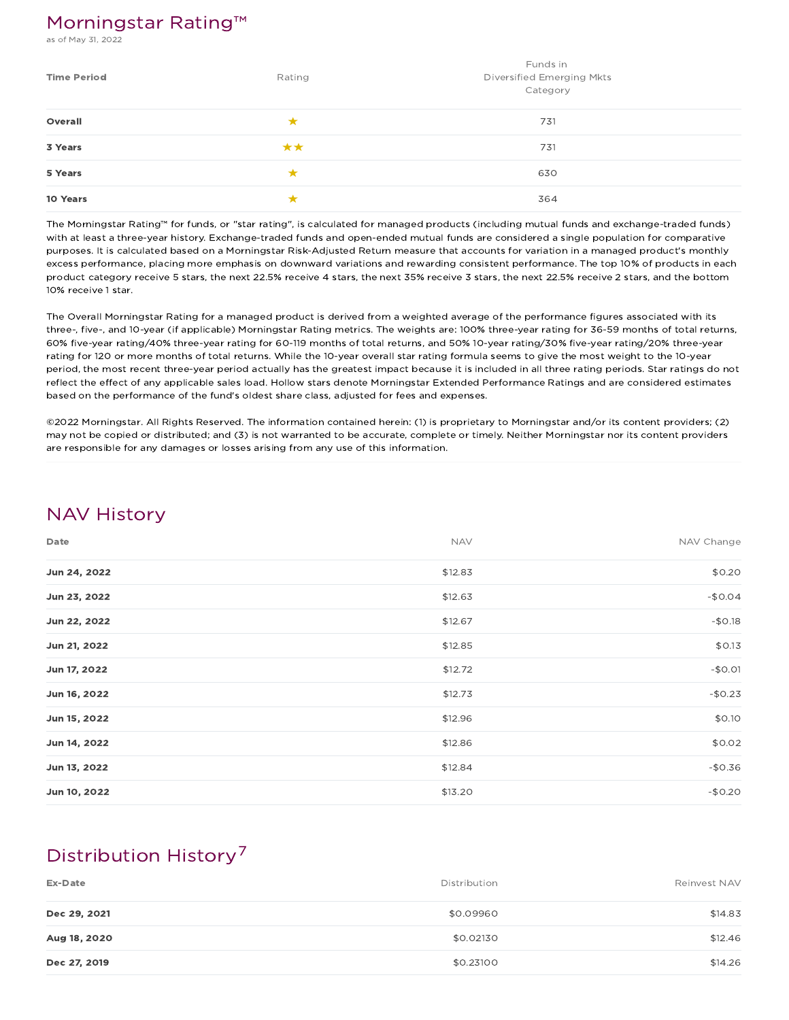## Morningstar Rating™

s of May 31, 2022

| <b>Time Period</b> | Rating | Funds in<br>Diversified Emerging Mkts<br>Category |
|--------------------|--------|---------------------------------------------------|
| Overall            | ★      | 731                                               |
| 3 Years            | **     | 731                                               |
| 5 Years            |        | 630                                               |
| 10 Years           |        | 364                                               |

The Morningstar Rating™ for funds, or "star rating", is calculated for managed products (including mutual funds and exchange-traded funds) with at least a three-year history. Exchange-traded funds and open-ended mutual funds are considered a single population for comparative purposes. It is calculated based on a Morningstar Risk-Adjusted Return measure that accounts for variation in a managed product's monthly excess performance, placing more emphasis on downward variations and rewarding consistent performance. The top 10% of products in each product category receive 5 stars, the next 22.5% receive 4 stars, the next 35% receive 3 stars, the next 22.5% receive 2 stars, and the bottom 10% receive 1 star.

The Overall Morningstar Rating for a managed product is derived from a weighted average of the performance figures associated with its three-, five-, and 10-year (if applicable) Morningstar Rating metrics. The weights are: 100% three-year rating for 36-59 months of total returns, 60% five-year rating/40% three-year rating for 60-119 months of total returns, and 50% 10-year rating/30% five-year rating/20% three-year rating for 120 or more months of total returns. While the 10-year overall star rating formula seems to give the most weight to the 10-year period, the most recent three-year period actually has the greatest impact because it is included in all three rating periods. Star ratings do not reflect the effect of any applicable sales load. Hollow stars denote Morningstar Extended Performance Ratings and are considered estimates based on the performance of the fund's oldest share class, adjusted for fees and expenses.

©2022 Morningstar. All Rights Reserved. The information contained herein: (1) is proprietary to Morningstar and/or its content providers; (2) may not be copied or distributed; and (3) is not warranted to be accurate, complete or timely. Neither Morningstar nor its content providers are responsible for any damages or losses arising from any use of this information.

## NAV History

| Date         | <b>NAV</b> | NAV Change |
|--------------|------------|------------|
| Jun 24, 2022 | \$12.83    | \$0.20     |
| Jun 23, 2022 | \$12.63    | $-$0.04$   |
| Jun 22, 2022 | \$12.67    | $-$0.18$   |
| Jun 21, 2022 | \$12.85    | \$0.13     |
| Jun 17, 2022 | \$12.72    | $-$0.01$   |
| Jun 16, 2022 | \$12.73    | $-$0.23$   |
| Jun 15, 2022 | \$12.96    | \$0.10     |
| Jun 14, 2022 | \$12.86    | \$0.02     |
| Jun 13, 2022 | \$12.84    | $-$0.36$   |
| Jun 10, 2022 | \$13.20    | $-$0.20$   |

# Distribution History 7

| Ex-Date      | Distribution | Reinvest NAV |
|--------------|--------------|--------------|
| Dec 29, 2021 | \$0.09960    | \$14.83      |
| Aug 18, 2020 | \$0.02130    | \$12.46      |
| Dec 27, 2019 | \$0.23100    | \$14.26      |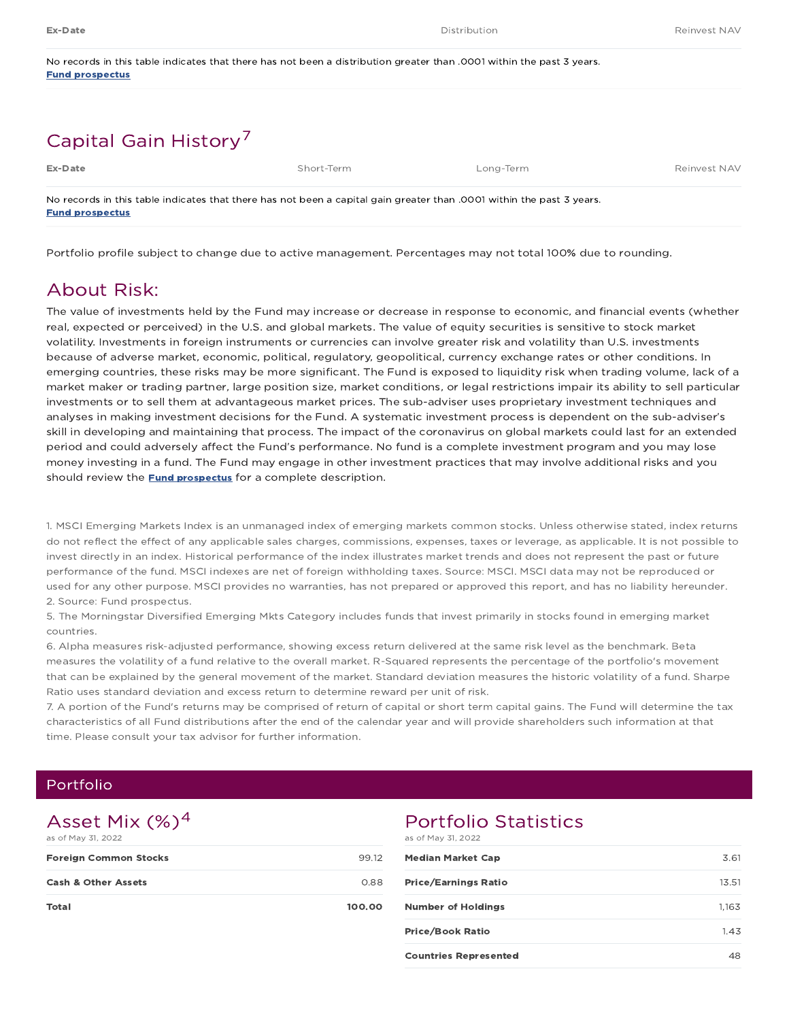| No records in this table indicates that there has not been a distribution greater than .0001 within the past 3 years. |  |
|-----------------------------------------------------------------------------------------------------------------------|--|
| <b>Fund prospectus</b>                                                                                                |  |

# Capital Gain History<sup>7</sup>

| Ex-Date                | Short-Term                                                                                                            | Long-Term | Reinvest NAV |
|------------------------|-----------------------------------------------------------------------------------------------------------------------|-----------|--------------|
| <b>Fund prospectus</b> | No records in this table indicates that there has not been a capital gain greater than .0001 within the past 3 years. |           |              |

Portfolio profile subject to change due to active management. Percentages may not total 100% due to rounding.

## About Risk:

The value of investments held by the Fund may increase or decrease in response to economic, and financial events (whether real, expected or perceived) in the U.S. and global markets. The value of equity securities is sensitive to stock market volatility. Investments in foreign instruments or currencies can involve greater risk and volatility than U.S. investments because of adverse market, economic, political, regulatory, geopolitical, currency exchange rates or other conditions. In emerging countries, these risks may be more significant. The Fund is exposed to liquidity risk when trading volume, lack of a market maker or trading partner, large position size, market conditions, or legal restrictions impair its ability to sell particular investments or to sell them at advantageous market prices. The sub-adviser uses proprietary investment techniques and analyses in making investment decisions for the Fund. A systematic investment process is dependent on the sub-adviser's skill in developing and maintaining that process. The impact of the coronavirus on global markets could last for an extended period and could adversely affect the Fund's performance. No fund is a complete investment program and you may lose money investing in a fund. The Fund may engage in other investment practices that may involve additional risks and you should review the **Fund prospectus** for a complete description.

1. MSCI Emerging Markets Index is an unmanaged index of emerging markets common stocks. Unless otherwise stated, index returns do not reflect the effect of any applicable sales charges, commissions, expenses, taxes or leverage, as applicable. It is not possible to invest directly in an index. Historical performance of the index illustrates market trends and does not represent the past or future performance of the fund. MSCI indexes are net of foreign withholding taxes. Source: MSCI. MSCI data may not be reproduced or used for any other purpose. MSCI provides no warranties, has not prepared or approved this report, and has no liability hereunder. 2. Source: Fund prospectus.

5. The Morningstar Diversified Emerging Mkts Category includes funds that invest primarily in stocks found in emerging market countries.

6. Alpha measures risk-adjusted performance, showing excess return delivered at the same risk level as the benchmark. Beta measures the volatility of a fund relative to the overall market. R-Squared represents the percentage of the portfolio's movement that can be explained by the general movement of the market. Standard deviation measures the historic volatility of a fund. Sharpe Ratio uses standard deviation and excess return to determine reward per unit of risk.

7. A portion of the Fund's returns may be comprised of return of capital or short term capital gains. The Fund will determine the tax characteristics of all Fund distributions after the end of the calendar year and will provide shareholders such information at that time. Please consult your tax advisor for further information.

### Portfolio

## Asset Mix  $(\%)^4$

| as of May 31, 2022             |        |
|--------------------------------|--------|
| <b>Foreign Common Stocks</b>   | 99.12  |
| <b>Cash &amp; Other Assets</b> | 0.88   |
| <b>Total</b>                   | 100.00 |

## Portfolio Statistics

| as of May 31, 2022           |       |
|------------------------------|-------|
| <b>Median Market Cap</b>     | 3.61  |
| <b>Price/Earnings Ratio</b>  | 13.51 |
| <b>Number of Holdings</b>    | 1,163 |
| <b>Price/Book Ratio</b>      | 1.43  |
| <b>Countries Represented</b> |       |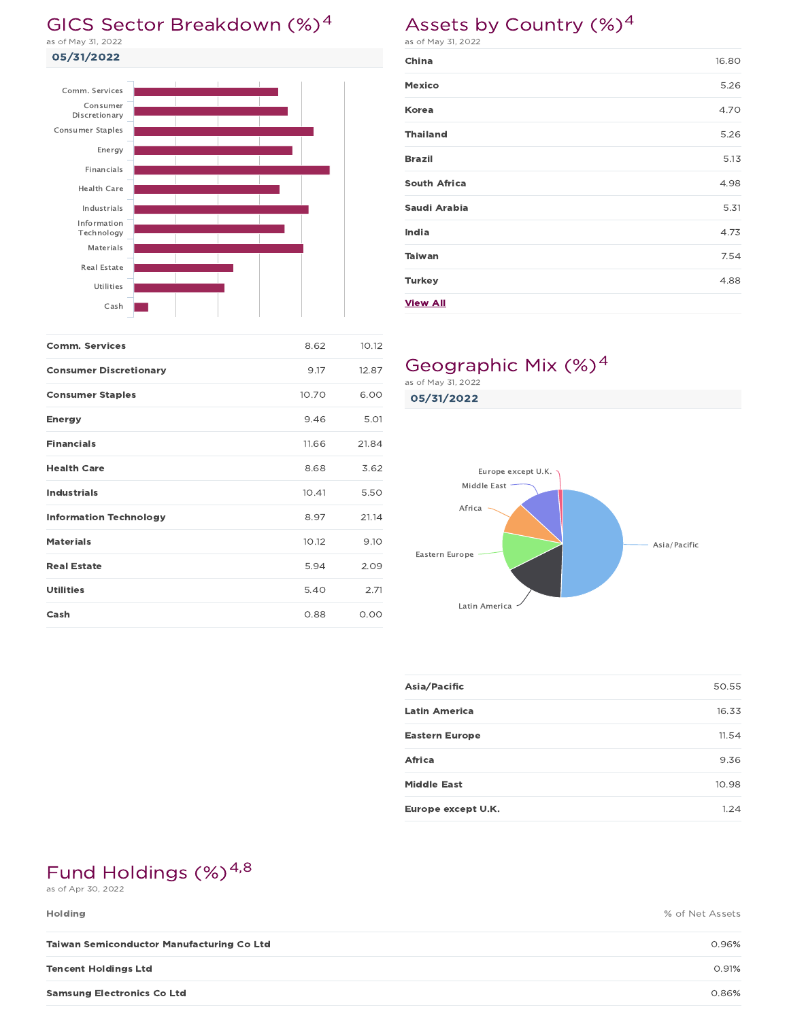# GICS Sector Breakdown (%)<sup>4</sup>

05/31/2022 as of May 31, 2022



| <b>Comm. Services</b>         | 8.62  | 10.12 |
|-------------------------------|-------|-------|
| <b>Consumer Discretionary</b> | 9.17  | 12.87 |
| <b>Consumer Staples</b>       | 10.70 | 6.00  |
| <b>Energy</b>                 | 9.46  | 5.01  |
| <b>Financials</b>             | 11.66 | 21.84 |
| <b>Health Care</b>            | 8.68  | 3.62  |
| <b>Industrials</b>            | 10.41 | 5.50  |
| <b>Information Technology</b> | 8.97  | 21.14 |
| <b>Materials</b>              | 10.12 | 9.10  |
| <b>Real Estate</b>            | 5.94  | 2.09  |
| <b>Utilities</b>              | 5.40  | 2.71  |
| Cash                          | 0.88  | 0.00  |

# Assets by Country (%)<sup>4</sup>

as of May 31, 2022

| China               | 16.80 |
|---------------------|-------|
| Mexico              | 5.26  |
| Korea               | 4.70  |
| <b>Thailand</b>     | 5.26  |
| <b>Brazil</b>       | 5.13  |
| <b>South Africa</b> | 4.98  |
| Saudi Arabia        | 5.31  |
| India               | 4.73  |
| <b>Taiwan</b>       | 7.54  |
| <b>Turkey</b>       | 4.88  |
| <b>View All</b>     |       |

# Geographic Mix (%)<sup>4</sup>

05/31/2022 as of May 31, 2022



| Asia/Pacific          | 50.55 |
|-----------------------|-------|
| <b>Latin America</b>  | 16.33 |
| <b>Eastern Europe</b> | 11.54 |
| Africa                | 9.36  |
| <b>Middle East</b>    | 10.98 |
| Europe except U.K.    | 1.24  |

# Fund Holdings (%)<sup>4,8</sup>

as of Apr 30, 2022

| <b>Holding</b>                                   | % of Net Assets |
|--------------------------------------------------|-----------------|
| <b>Taiwan Semiconductor Manufacturing Co Ltd</b> | 0.96%           |
| <b>Tencent Holdings Ltd</b>                      | 0.91%           |
| <b>Samsung Electronics Co Ltd</b>                | 0.86%           |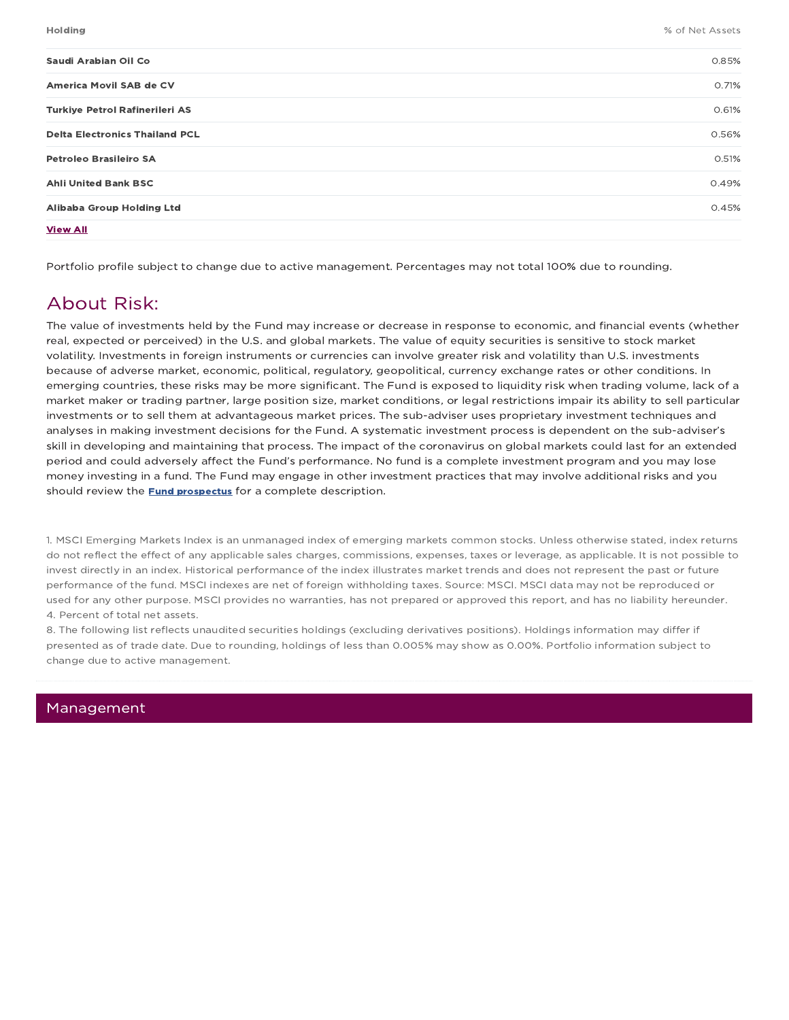| <b>Holding</b>                        | % of Net Assets |
|---------------------------------------|-----------------|
| Saudi Arabian Oil Co                  | 0.85%           |
| America Movil SAB de CV               | 0.71%           |
| Turkiye Petrol Rafinerileri AS        | 0.61%           |
| <b>Delta Electronics Thailand PCL</b> | 0.56%           |
| <b>Petroleo Brasileiro SA</b>         | 0.51%           |
| <b>Ahli United Bank BSC</b>           | 0.49%           |
| Alibaba Group Holding Ltd             | 0.45%           |
| <b>View All</b>                       |                 |

Portfolio profile subject to change due to active management. Percentages may not total 100% due to rounding.

## About Risk:

The value of investments held by the Fund may increase or decrease in response to economic, and financial events (whether real, expected or perceived) in the U.S. and global markets. The value of equity securities is sensitive to stock market volatility. Investments in foreign instruments or currencies can involve greater risk and volatility than U.S. investments because of adverse market, economic, political, regulatory, geopolitical, currency exchange rates or other conditions. In emerging countries, these risks may be more significant. The Fund is exposed to liquidity risk when trading volume, lack of a market maker or trading partner, large position size, market conditions, or legal restrictions impair its ability to sell particular investments or to sell them at advantageous market prices. The sub-adviser uses proprietary investment techniques and analyses in making investment decisions for the Fund. A systematic investment process is dependent on the sub-adviser's skill in developing and maintaining that process. The impact of the coronavirus on global markets could last for an extended period and could adversely affect the Fund's performance. No fund is a complete investment program and you may lose money investing in a fund. The Fund may engage in other investment practices that may involve additional risks and you should review the **Fund prospectus** for a complete description.

1. MSCI Emerging Markets Index is an unmanaged index of emerging markets common stocks. Unless otherwise stated, index returns do not reflect the effect of any applicable sales charges, commissions, expenses, taxes or leverage, as applicable. It is not possible to invest directly in an index. Historical performance of the index illustrates market trends and does not represent the past or future performance of the fund. MSCI indexes are net of foreign withholding taxes. Source: MSCI. MSCI data may not be reproduced or used for any other purpose. MSCI provides no warranties, has not prepared or approved this report, and has no liability hereunder. 4. Percent of total net assets.

8. The following list reflects unaudited securities holdings (excluding derivatives positions). Holdings information may differ if presented as of trade date. Due to rounding, holdings of less than 0.005% may show as 0.00%. Portfolio information subject to change due to active management.

### Management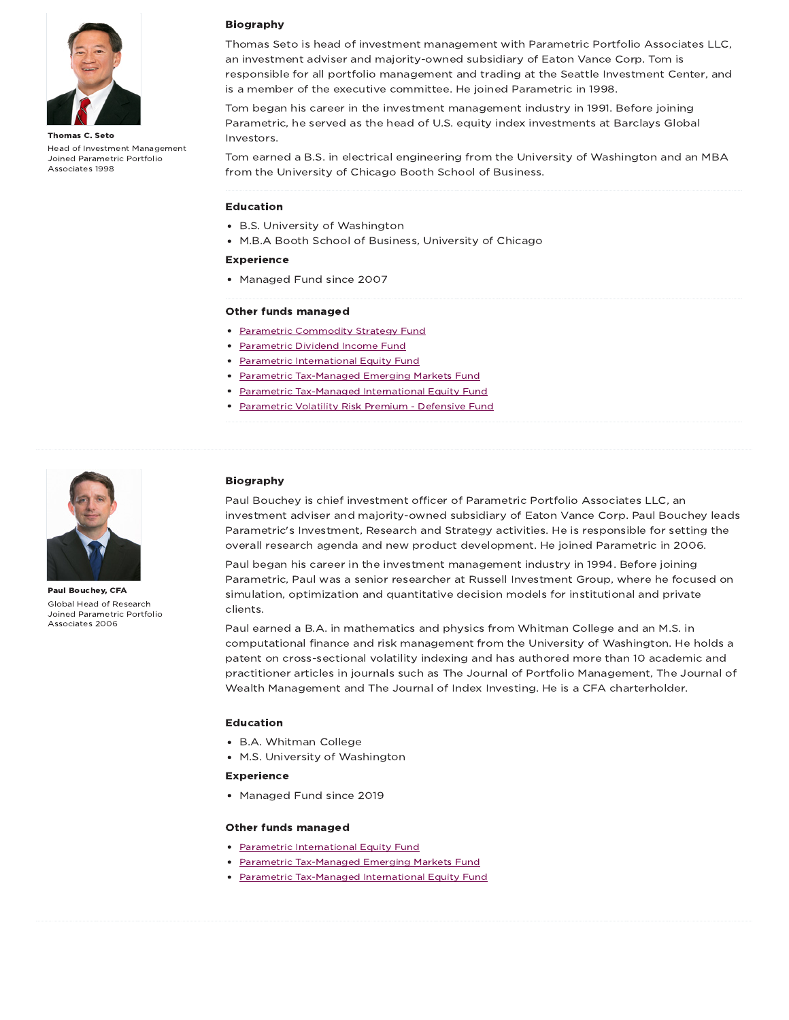

Thomas C. Seto Head of Investment Management Joined Parametric Portfolio Associates 1998

### Biography

Thomas Seto is head of investment management with Parametric Portfolio Associates LLC, an investment adviser and majority-owned subsidiary of Eaton Vance Corp. Tom is responsible for all portfolio management and trading at the Seattle Investment Center, and is a member of the executive committee. He joined Parametric in 1998.

Tom began his career in the investment management industry in 1991. Before joining Parametric, he served as the head of U.S. equity index investments at Barclays Global Investors.

Tom earned a B.S. in electrical engineering from the University of Washington and an MBA from the University of Chicago Booth School of Business.

#### Education

- B.S. University of Washington
- M.B.A Booth School of Business, University of Chicago

### Experience

• Managed Fund since 2007

#### Other funds managed

- Parametric Commodity Strategy Fund
- Parametric Dividend Income Fund
- Parametric International Equity Fund
- Parametric Tax-Managed Emerging Markets Fund
- Parametric Tax-Managed International Equity Fund
- Parametric Volatility Risk Premium Defensive Fund



Paul Bouchey, CFA Global Head of Research Joined Parametric Portfolio Associates 2006

### Biography

Paul Bouchey is chief investment officer of Parametric Portfolio Associates LLC, an investment adviser and majority-owned subsidiary of Eaton Vance Corp. Paul Bouchey leads Parametric's Investment, Research and Strategy activities. He is responsible for setting the overall research agenda and new product development. He joined Parametric in 2006.

Paul began his career in the investment management industry in 1994. Before joining Parametric, Paul was a senior researcher at Russell Investment Group, where he focused on simulation, optimization and quantitative decision models for institutional and private clients.

Paul earned a B.A. in mathematics and physics from Whitman College and an M.S. in computational finance and risk management from the University of Washington. He holds a patent on cross-sectional volatility indexing and has authored more than 10 academic and practitioner articles in journals such as The Journal of Portfolio Management, The Journal of Wealth Management and The Journal of Index Investing. He is a CFA charterholder.

#### Education

- B.A. Whitman College
- M.S. University of Washington

#### Experience

• Managed Fund since 2019

#### Other funds managed

- Parametric International Equity Fund
- Parametric Tax-Managed Emerging Markets Fund
- Parametric Tax-Managed International Equity Fund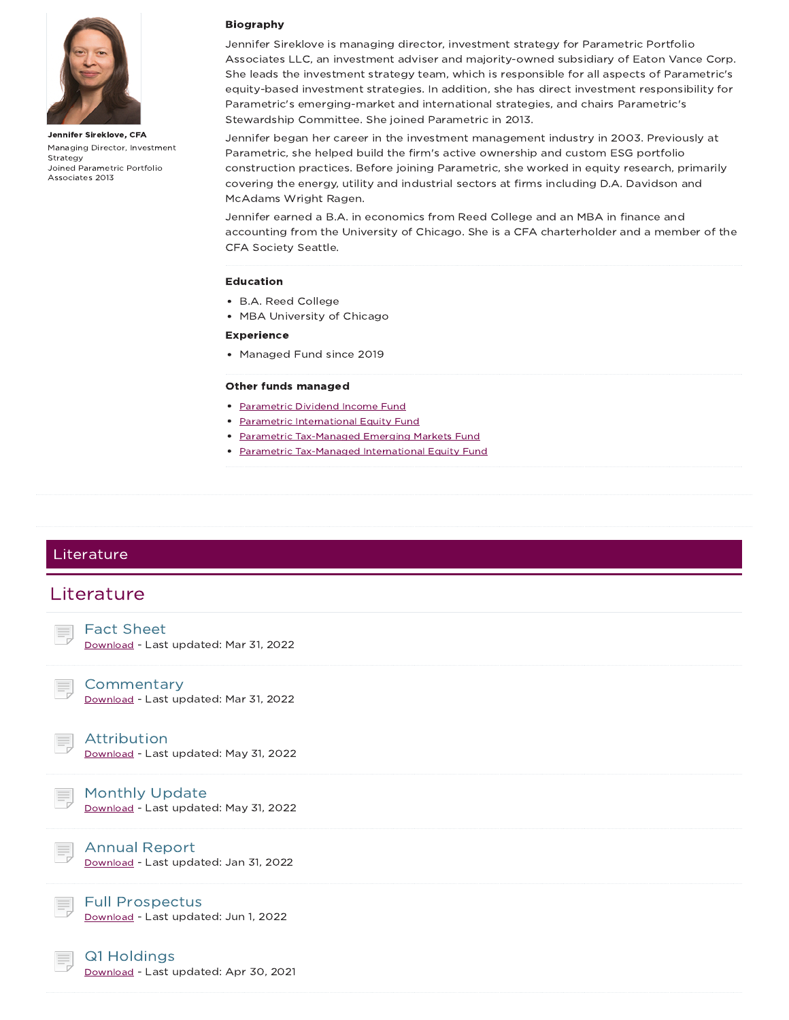

Jennifer Sireklove, CFA Managing Director, Investment Strategy Joined Parametric Portfolio Associates 2013

### Biography

Jennifer Sireklove is managing director, investment strategy for Parametric Portfolio Associates LLC, an investment adviser and majority-owned subsidiary of Eaton Vance Corp. She leads the investment strategy team, which is responsible for all aspects of Parametric's equity-based investment strategies. In addition, she has direct investment responsibility for Parametric's emerging-market and international strategies, and chairs Parametric's Stewardship Committee. She joined Parametric in 2013.

Jennifer began her career in the investment management industry in 2003. Previously at Parametric, she helped build the firm's active ownership and custom ESG portfolio construction practices. Before joining Parametric, she worked in equity research, primarily covering the energy, utility and industrial sectors at firms including D.A. Davidson and McAdams Wright Ragen.

Jennifer earned a B.A. in economics from Reed College and an MBA in finance and accounting from the University of Chicago. She is a CFA charterholder and a member of the CFA Society Seattle.

#### Education

- B.A. Reed College
- MBA University of Chicago

#### Experience

Managed Fund since 2019

#### Other funds managed

- Parametric Dividend Income Fund
- Parametric International Equity Fund
- Parametric Tax-Managed Emerging Markets Fund
- Parametric Tax-Managed International Equity Fund

### Literature



Download - Last updated: Apr 30, 2021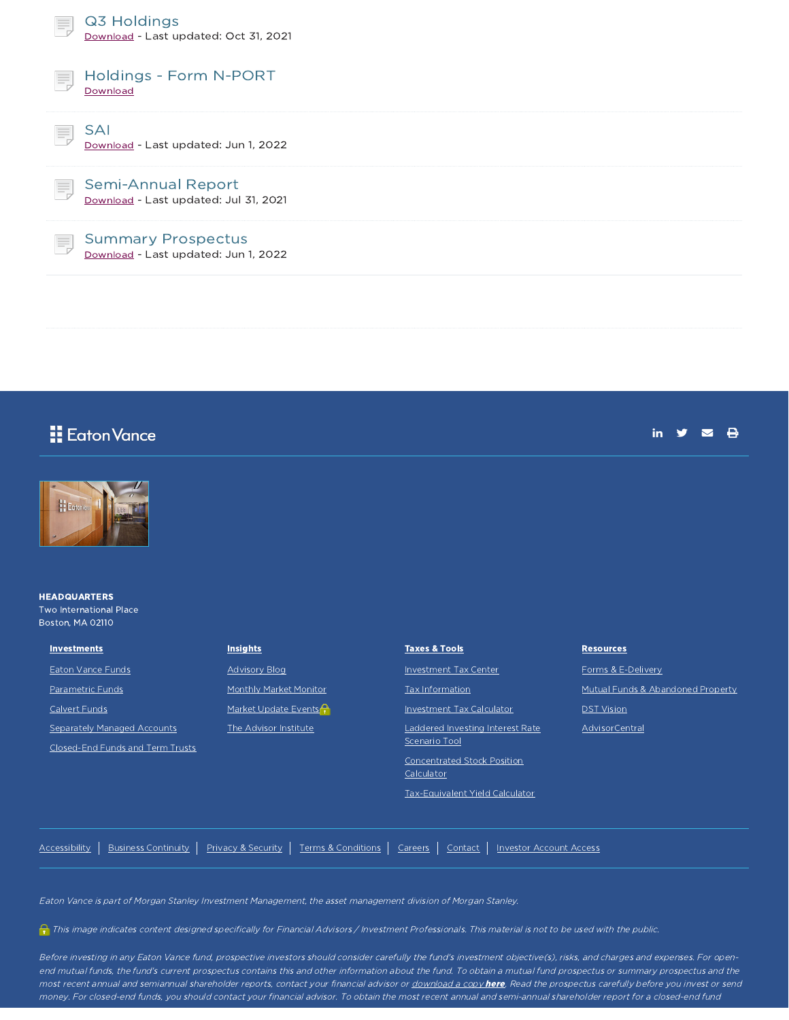| Q3 Holdings<br>Ħ,<br>Download - Last updated: Oct 31, 2021               |  |
|--------------------------------------------------------------------------|--|
| Holdings - Form N-PORT<br>Ħ.<br>Download                                 |  |
| <b>SAI</b><br>目<br>Download - Last updated: Jun 1, 2022                  |  |
| <b>Semi-Annual Report</b><br>E,<br>Download - Last updated: Jul 31, 2021 |  |
| <b>Summary Prospectus</b><br>Ę<br>Download - Last updated: Jun 1, 2022   |  |
|                                                                          |  |

## **E** Eaton Vance

| ПΤ |  |  |
|----|--|--|
|    |  |  |



#### **HEADQUARTERS** Two International Place Boston, MA 02110

| <b>Investments</b> |
|--------------------|
| Eaton Vance Funds  |

Parametric Funds

Calvert Funds

Separately Managed Accounts

Closed-End Funds and Term Trusts

| <b>Insights</b> |  |
|-----------------|--|
|-----------------|--|

Advisory Blog

Monthly Market Monitor

Market Update Events<sup>2</sup>

The Advisor Institute

Taxes & Tools Investment Tax Center Tax Information Investment Tax Calculator Laddered Investing Interest Rate Scenario Tool Concentrated Stock Position Calculator Tax-Equivalent Yield Calculator

**Resources** 

Forms & E-Delivery

Mutual Funds & Abandoned Property

**DST** Vision

AdvisorCentral

Accessibility | Business Continuity | Privacy & Security | Terms & Conditions | Careers | Contact | Investor Account Access

Eaton Vance is part of Morgan Stanley Investment Management, the asset management division of Morgan Stanley.

This image indicates content designed specifically for Financial Advisors / Investment Professionals. This material is not to be used with the public.

Before investing in any Eaton Vance fund, prospective investors should consider carefully the fund's investment objective(s), risks, and charges and expenses. For openend mutual funds, the fund's current prospectus contains this and other information about the fund. To obtain <sup>a</sup> mutual fund prospectus or summary prospectus and the most recent annual and semiannual shareholder reports, contact your financial advisor or download a copy here. Read the prospectus carefully before you invest or send money. For closed-end funds, you should contact your financial advisor. To obtain the most recent annual and semi-annual shareholder report for <sup>a</sup> closed-end fund